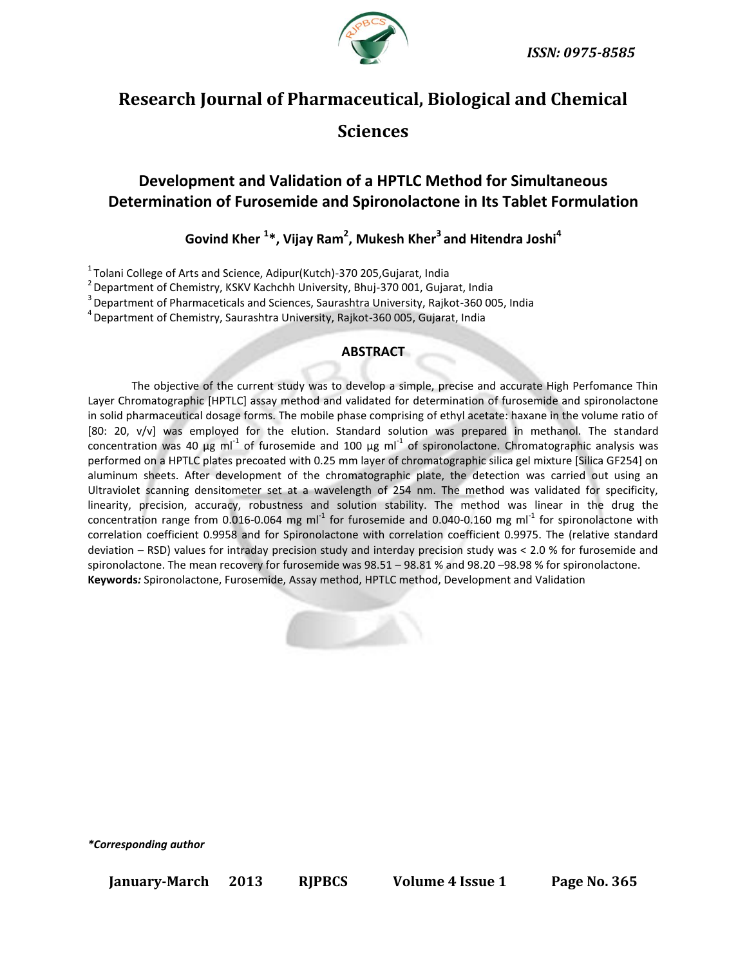

# **Research Journal of Pharmaceutical, Biological and Chemical Sciences**

# **Development and Validation of a HPTLC Method for Simultaneous Determination of Furosemide and Spironolactone in Its Tablet Formulation**

**Govind Kher <sup>1</sup> \*, Vijay Ram<sup>2</sup> , Mukesh Kher<sup>3</sup>and Hitendra Joshi<sup>4</sup>**

<sup>1</sup> Tolani College of Arts and Science, Adipur(Kutch)-370 205, Gujarat, India

 $2$  Department of Chemistry, KSKV Kachchh University, Bhuj-370 001, Gujarat, India

<sup>3</sup> Department of Pharmaceticals and Sciences, Saurashtra University, Rajkot-360 005, India

<sup>4</sup> Department of Chemistry, Saurashtra University, Rajkot-360 005, Gujarat, India

### **ABSTRACT**

The objective of the current study was to develop a simple, precise and accurate High Perfomance Thin Layer Chromatographic [HPTLC] assay method and validated for determination of furosemide and spironolactone in solid pharmaceutical dosage forms. The mobile phase comprising of ethyl acetate: haxane in the volume ratio of [80: 20, v/v] was employed for the elution. Standard solution was prepared in methanol. The standard concentration was 40  $\mu$ g ml<sup>-1</sup> of furosemide and 100  $\mu$ g ml<sup>-1</sup> of spironolactone. Chromatographic analysis was performed on a HPTLC plates precoated with 0.25 mm layer of chromatographic silica gel mixture [Silica GF254] on aluminum sheets. After development of the chromatographic plate, the detection was carried out using an Ultraviolet scanning densitometer set at a wavelength of 254 nm. The method was validated for specificity, linearity, precision, accuracy, robustness and solution stability. The method was linear in the drug the concentration range from 0.016-0.064 mg ml<sup>-1</sup> for furosemide and 0.040-0.160 mg ml<sup>-1</sup> for spironolactone with correlation coefficient 0.9958 and for Spironolactone with correlation coefficient 0.9975. The (relative standard deviation – RSD) values for intraday precision study and interday precision study was < 2.0 % for furosemide and spironolactone. The mean recovery for furosemide was 98.51 – 98.81 % and 98.20 –98.98 % for spironolactone. **Keywords***:* Spironolactone, Furosemide, Assay method, HPTLC method, Development and Validation



*\*Corresponding author*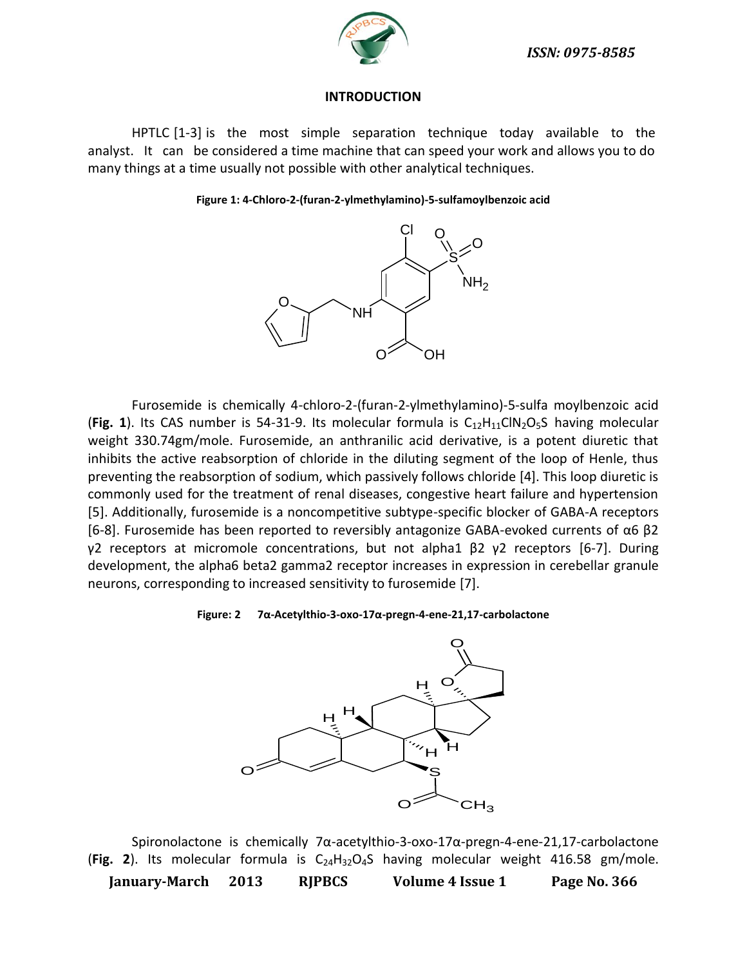

### **INTRODUCTION**

HPTLC [1-3] is the most simple separation technique today available to the analyst. It can be considered a time machine that can speed your work and allows you to do many things at a time usually not possible with other analytical techniques.

#### **Figure 1: 4-Chloro-2-(furan-2-ylmethylamino)-5-sulfamoylbenzoic acid**



Furosemide is chemically 4-chloro-2-(furan-2-ylmethylamino)-5-sulfa moylbenzoic acid (Fig. 1). Its CA[S](http://en.wikipedia.org/wiki/Sulfur) number is 54-31-9. Its molecular formula is  $C_{12}H_{11}CIN_2O_5S$  $C_{12}H_{11}CIN_2O_5S$  $C_{12}H_{11}CIN_2O_5S$  $C_{12}H_{11}CIN_2O_5S$  $C_{12}H_{11}CIN_2O_5S$  having molecular weight 330.74gm/mole. Furosemide, an anthranilic acid derivative, is a potent diuretic that inhibits the active reabsorption of chloride in the diluting segment of the loop of Henle, thus preventing the reabsorption of sodium, which passively follows chloride [4]. This loop diuretic is commonly used for the treatment of renal diseases, congestive heart failure and hypertension [5]. Additionally, furosemide is a noncompetitive subtype-specific blocker of GABA-A receptors [6-8]. Furosemide has been reported to reversibly antagonize GABA-evoked currents of α6 β2 γ2 receptors at micromole concentrations, but not alpha1  $\beta$ 2 γ2 receptors [\[6](http://en.wikipedia.org/wiki/Furosemide#cite_note-Korpi95-0)-[7\].](http://en.wikipedia.org/wiki/Furosemide#cite_note-Wafford96-2) During development, the alpha6 beta2 gamma2 receptor increases in expression in cerebellar granule neurons, corresponding to increased sensitivity to furosemide [\[7\].](http://en.wikipedia.org/wiki/Furosemide#cite_note-Tia95-1)

### **Figure: 2 7α-Acetylthio-3-oxo-17α-pregn-4-ene-21,17-carbolactone**



Spironolactone is chemically 7α-acetylthio-3-oxo-17α-pregn-4-ene-21,17-carbolactone (Fig. 2). Its molecular formula is C<sub>24</sub>H<sub>32</sub>O<sub>4</sub>S having molecular weight 416.58 gm/mole.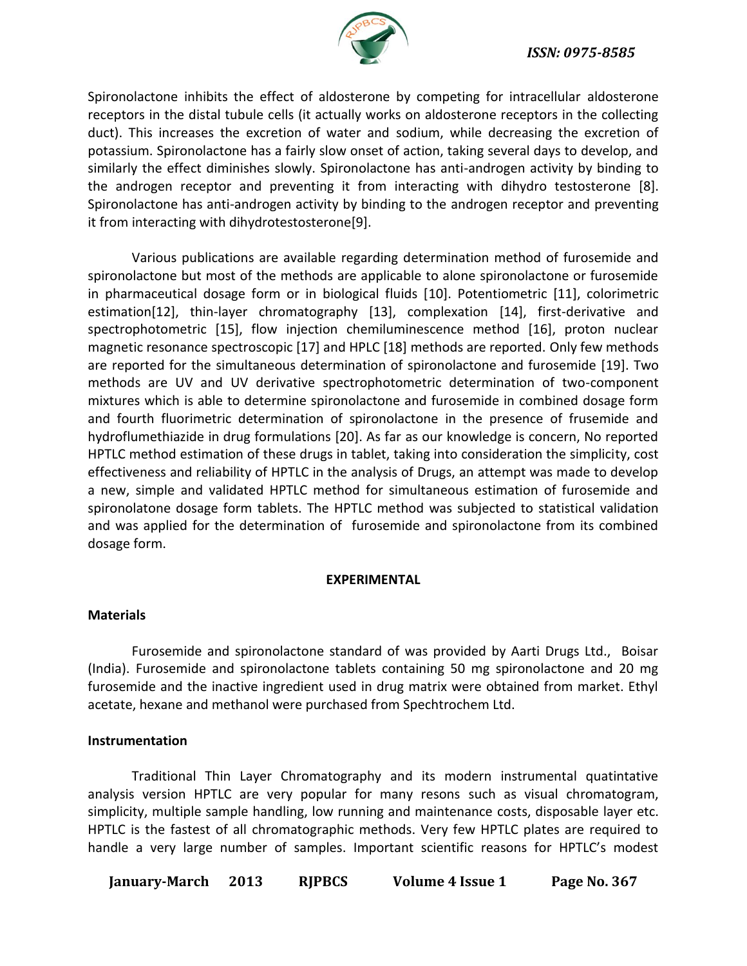

Spironolactone inhibits the effect of aldosterone by competing for intracellular [aldosterone](http://en.wikipedia.org/wiki/Mineralocorticoid_receptor)  [receptors](http://en.wikipedia.org/wiki/Mineralocorticoid_receptor) in the [distal tubule](http://en.wikipedia.org/wiki/Distal_convoluted_tubule) cells (it actually works on aldosterone receptors in the collecting duct). This increases the excretion of water and [sodium,](http://en.wikipedia.org/wiki/Sodium) while decreasing the excretion of potassium. Spironolactone has a fairly slow onset of action, taking several days to develop, and similarly the effect diminishes slowly. Spironolactone has anti-androgen activity by binding to the [androgen receptor](http://en.wikipedia.org/wiki/Androgen_receptor) and preventing it from interacting with [dihydro testosterone](http://en.wikipedia.org/wiki/Dihydrotestosterone) [\[8\].](http://en.wikipedia.org/wiki/Spironolactone#cite_note-0) Spironolactone has anti-androgen activity by binding to the [androgen receptor](http://en.wikipedia.org/wiki/Androgen_receptor) and preventing it from interacting with [dihydrotestosterone\[9\].](http://en.wikipedia.org/wiki/Dihydrotestosterone)

Various publications are available regarding determination method of furosemide and spironolactone but most of the methods are applicable to alone spironolactone or furosemide in pharmaceutical dosage form or in biological fluids [10]. Potentiometric [11], colorimetric estimation[12], thin-layer chromatography [13], complexation [14], first-derivative and spectrophotometric [15], flow injection chemiluminescence method [16], proton nuclear magnetic resonance spectroscopic [17] and HPLC [18] methods are reported. Only few methods are reported for the simultaneous determination of spironolactone and furosemide [19]. Two methods are UV and UV derivative spectrophotometric determination of two-component mixtures which is able to determine spironolactone and furosemide in combined dosage form and fourth fluorimetric determination of spironolactone in the presence of frusemide and hydroflumethiazide in drug formulations [20]. As far as our knowledge is concern, No reported HPTLC method estimation of these drugs in tablet, taking into consideration the simplicity, cost effectiveness and reliability of HPTLC in the analysis of Drugs, an attempt was made to develop a new, simple and validated HPTLC method for simultaneous estimation of furosemide and spironolatone dosage form tablets. The HPTLC method was subjected to statistical validation and was applied for the determination of furosemide and spironolactone from its combined dosage form.

### **EXPERIMENTAL**

### **Materials**

Furosemide and spironolactone standard of was provided by Aarti Drugs Ltd., Boisar (India). Furosemide and spironolactone tablets containing 50 mg spironolactone and 20 mg furosemide and the inactive ingredient used in drug matrix were obtained from market. Ethyl acetate, hexane and methanol were purchased from Spechtrochem Ltd.

### **Instrumentation**

Traditional Thin Layer Chromatography and its modern instrumental quatintative analysis version HPTLC are very popular for many resons such as visual chromatogram, simplicity, multiple sample handling, low running and maintenance costs, disposable layer etc. HPTLC is the fastest of all chromatographic methods. Very few HPTLC plates are required to handle a very large number of samples. Important scientific reasons for HPTLC's modest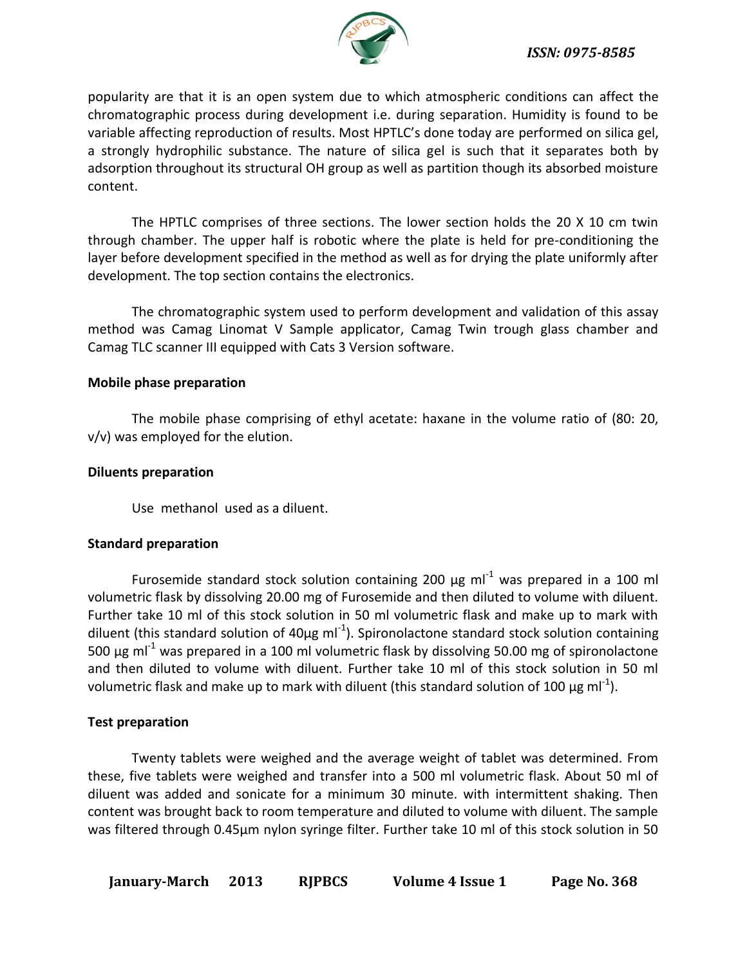

popularity are that it is an open system due to which atmospheric conditions can affect the chromatographic process during development i.e. during separation. Humidity is found to be variable affecting reproduction of results. Most HPTLC's done today are performed on silica gel, a strongly hydrophilic substance. The nature of silica gel is such that it separates both by adsorption throughout its structural OH group as well as partition though its absorbed moisture content.

The HPTLC comprises of three sections. The lower section holds the 20 Х 10 cm twin through chamber. The upper half is robotic where the plate is held for pre-conditioning the layer before development specified in the method as well as for drying the plate uniformly after development. The top section contains the electronics.

The chromatographic system used to perform development and validation of this assay method was Camag Linomat V Sample applicator, Camag Twin trough glass chamber and Camag TLC scanner III equipped with Cats 3 Version software.

### **Mobile phase preparation**

The mobile phase comprising of ethyl acetate: haxane in the volume ratio of (80: 20, v/v) was employed for the elution.

### **Diluents preparation**

Use methanol used as a diluent.

### **Standard preparation**

Furosemide standard stock solution containing 200  $\mu$ g ml<sup>-1</sup> was prepared in a 100 ml volumetric flask by dissolving 20.00 mg of Furosemide and then diluted to volume with diluent. Further take 10 ml of this stock solution in 50 ml volumetric flask and make up to mark with diluent (this standard solution of 40 $\mu$ g ml<sup>-1</sup>). Spironolactone standard stock solution containing 500  $\mu$ g ml<sup>-1</sup> was prepared in a 100 ml volumetric flask by dissolving 50.00 mg of spironolactone and then diluted to volume with diluent. Further take 10 ml of this stock solution in 50 ml volumetric flask and make up to mark with diluent (this standard solution of 100  $\mu$ g ml<sup>-1</sup>).

### **Test preparation**

Twenty tablets were weighed and the average weight of tablet was determined. From these, five tablets were weighed and transfer into a 500 ml volumetric flask. About 50 ml of diluent was added and sonicate for a minimum 30 minute. with intermittent shaking. Then content was brought back to room temperature and diluted to volume with diluent. The sample was filtered through 0.45µm nylon syringe filter. Further take 10 ml of this stock solution in 50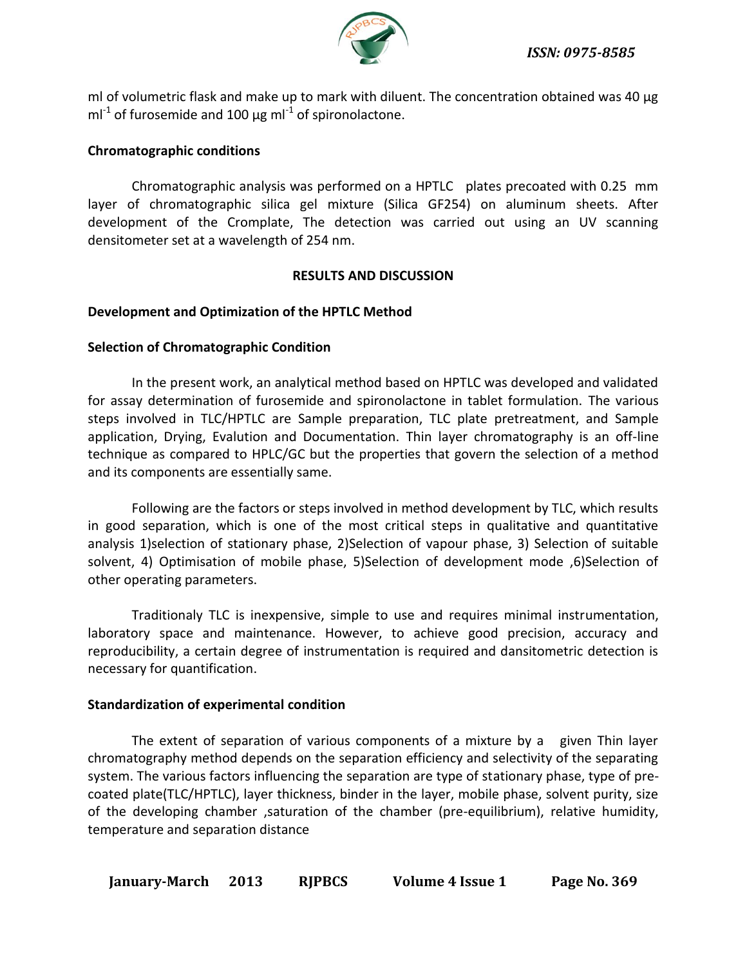

ml of volumetric flask and make up to mark with diluent. The concentration obtained was 40 µg  $ml^{-1}$  of furosemide and 100  $\mu$ g ml<sup>-1</sup> of spironolactone.

# **Chromatographic conditions**

Chromatographic analysis was performed on a HPTLC plates precoated with 0.25 mm layer of chromatographic silica gel mixture (Silica GF254) on aluminum sheets. After development of the Cromplate, The detection was carried out using an UV scanning densitometer set at a wavelength of 254 nm.

### **RESULTS AND DISCUSSION**

### **Development and Optimization of the HPTLC Method**

### **Selection of Chromatographic Condition**

In the present work, an analytical method based on HPTLC was developed and validated for assay determination of furosemide and spironolactone in tablet formulation. The various steps involved in TLC/HPTLC are Sample preparation, TLC plate pretreatment, and Sample application, Drying, Evalution and Documentation. Thin layer chromatography is an off-line technique as compared to HPLC/GC but the properties that govern the selection of a method and its components are essentially same.

Following are the factors or steps involved in method development by TLC, which results in good separation, which is one of the most critical steps in qualitative and quantitative analysis 1)selection of stationary phase, 2)Selection of vapour phase, 3) Selection of suitable solvent, 4) Optimisation of mobile phase, 5)Selection of development mode ,6)Selection of other operating parameters.

Traditionaly TLC is inexpensive, simple to use and requires minimal instrumentation, laboratory space and maintenance. However, to achieve good precision, accuracy and reproducibility, a certain degree of instrumentation is required and dansitometric detection is necessary for quantification.

### **Standardization of experimental condition**

The extent of separation of various components of a mixture by a given Thin layer chromatography method depends on the separation efficiency and selectivity of the separating system. The various factors influencing the separation are type of stationary phase, type of precoated plate(TLC/HPTLC), layer thickness, binder in the layer, mobile phase, solvent purity, size of the developing chamber ,saturation of the chamber (pre-equilibrium), relative humidity, temperature and separation distance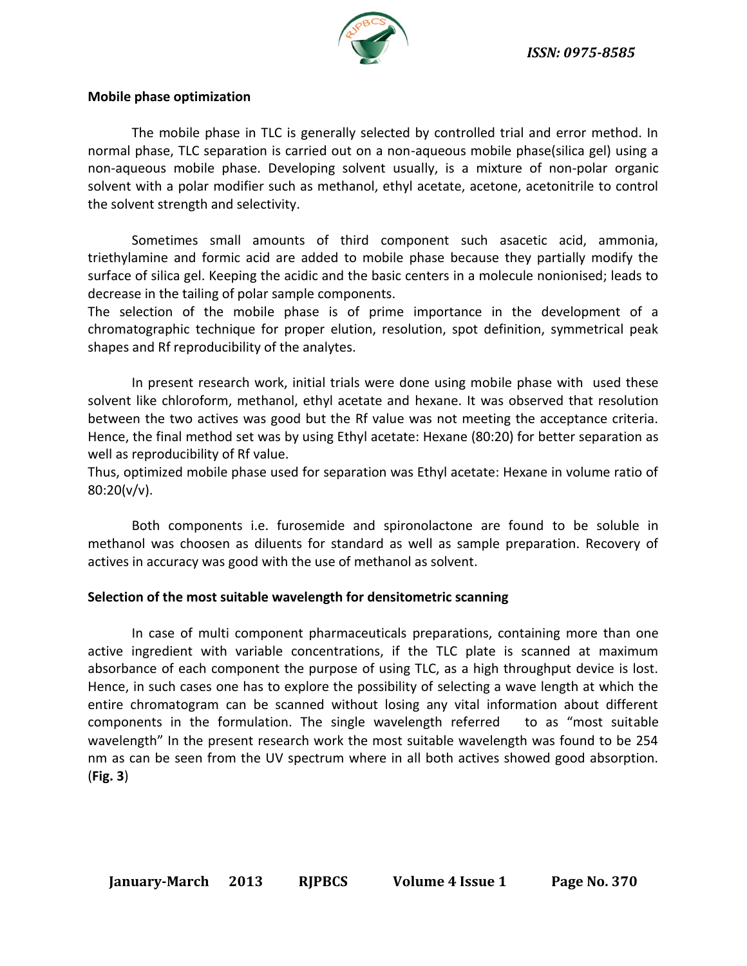

### **Mobile phase optimization**

The mobile phase in TLC is generally selected by controlled trial and error method. In normal phase, TLC separation is carried out on a non-aqueous mobile phase(silica gel) using a non-aqueous mobile phase. Developing solvent usually, is a mixture of non-polar organic solvent with a polar modifier such as methanol, ethyl acetate, acetone, acetonitrile to control the solvent strength and selectivity.

Sometimes small amounts of third component such asacetic acid, ammonia, triethylamine and formic acid are added to mobile phase because they partially modify the surface of silica gel. Keeping the acidic and the basic centers in a molecule nonionised; leads to decrease in the tailing of polar sample components.

The selection of the mobile phase is of prime importance in the development of a chromatographic technique for proper elution, resolution, spot definition, symmetrical peak shapes and Rf reproducibility of the analytes.

In present research work, initial trials were done using mobile phase with used these solvent like chloroform, methanol, ethyl acetate and hexane. It was observed that resolution between the two actives was good but the Rf value was not meeting the acceptance criteria. Hence, the final method set was by using Ethyl acetate: Hexane (80:20) for better separation as well as reproducibility of Rf value.

Thus, optimized mobile phase used for separation was Ethyl acetate: Hexane in volume ratio of  $80:20(v/v)$ .

Both components i.e. furosemide and spironolactone are found to be soluble in methanol was choosen as diluents for standard as well as sample preparation. Recovery of actives in accuracy was good with the use of methanol as solvent.

### **Selection of the most suitable wavelength for densitometric scanning**

In case of multi component pharmaceuticals preparations, containing more than one active ingredient with variable concentrations, if the TLC plate is scanned at maximum absorbance of each component the purpose of using TLC, as a high throughput device is lost. Hence, in such cases one has to explore the possibility of selecting a wave length at which the entire chromatogram can be scanned without losing any vital information about different components in the formulation. The single wavelength referred to as "most suitable wavelength" In the present research work the most suitable wavelength was found to be 254 nm as can be seen from the UV spectrum where in all both actives showed good absorption. (**Fig. 3**)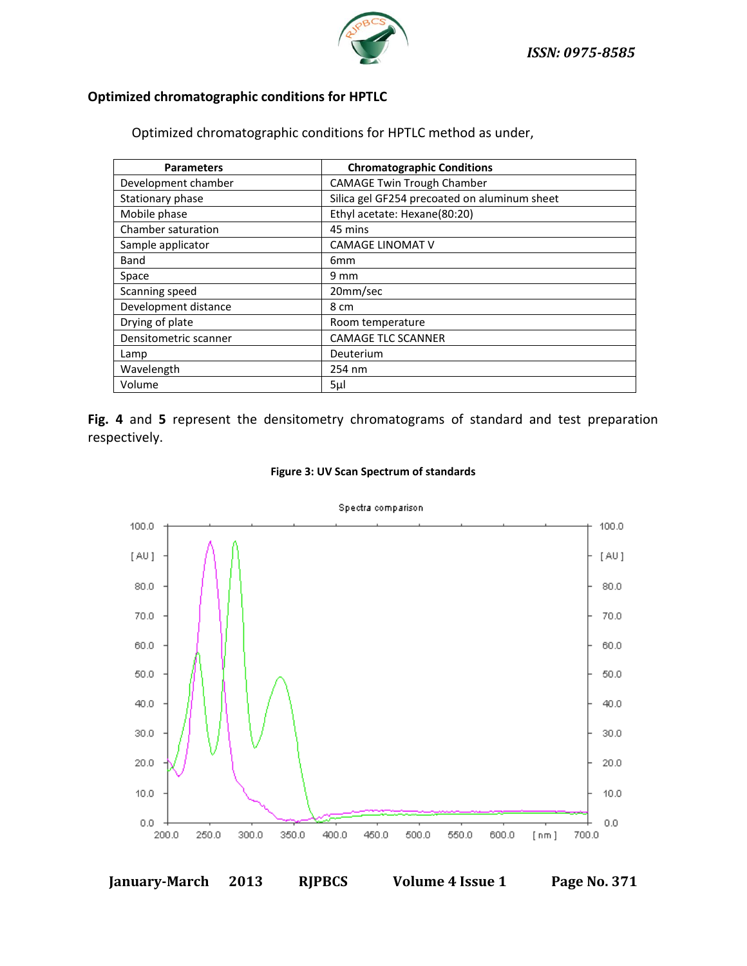

# **Optimized chromatographic conditions for HPTLC**

Optimized chromatographic conditions for HPTLC method as under,

| <b>Parameters</b>     | <b>Chromatographic Conditions</b>            |
|-----------------------|----------------------------------------------|
| Development chamber   | <b>CAMAGE Twin Trough Chamber</b>            |
| Stationary phase      | Silica gel GF254 precoated on aluminum sheet |
| Mobile phase          | Ethyl acetate: Hexane(80:20)                 |
| Chamber saturation    | 45 mins                                      |
| Sample applicator     | <b>CAMAGE LINOMAT V</b>                      |
| Band                  | 6mm                                          |
| Space                 | $9 \text{ mm}$                               |
| Scanning speed        | 20mm/sec                                     |
| Development distance  | 8 cm                                         |
| Drying of plate       | Room temperature                             |
| Densitometric scanner | <b>CAMAGE TLC SCANNER</b>                    |
| Lamp                  | Deuterium                                    |
| Wavelength            | 254 nm                                       |
| Volume                | 5µl                                          |

**Fig. 4** and **5** represent the densitometry chromatograms of standard and test preparation respectively.



#### **Figure 3: UV Scan Spectrum of standards**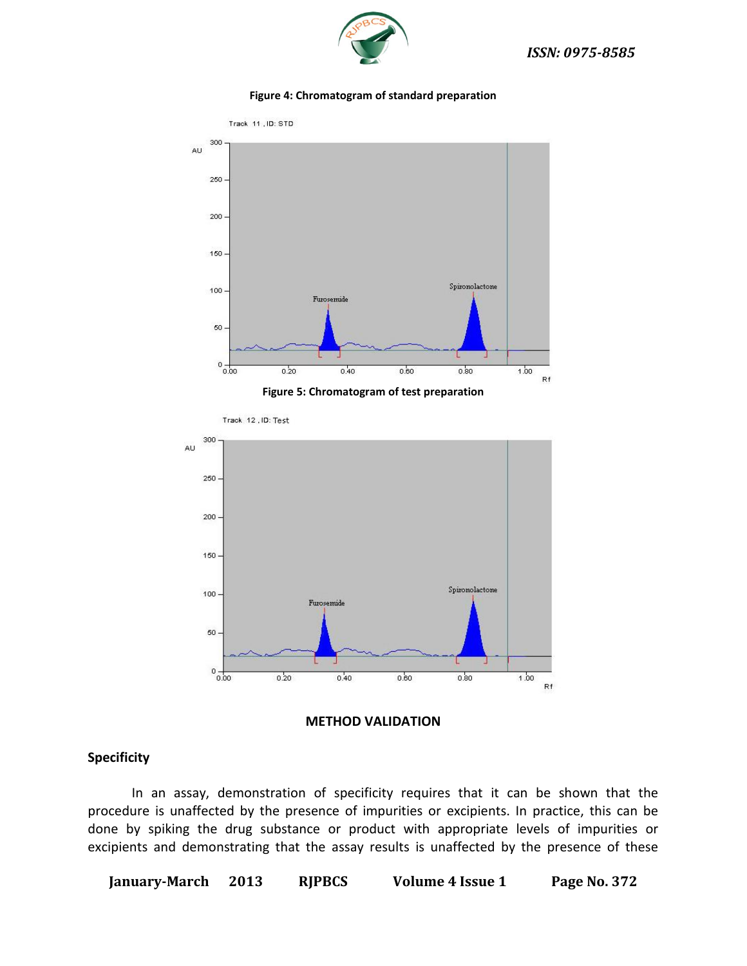

#### **Figure 4: Chromatogram of standard preparation**





### **Specificity**

In an assay, demonstration of specificity requires that it can be shown that the procedure is unaffected by the presence of impurities or excipients. In practice, this can be done by spiking the drug substance or product with appropriate levels of impurities or excipients and demonstrating that the assay results is unaffected by the presence of these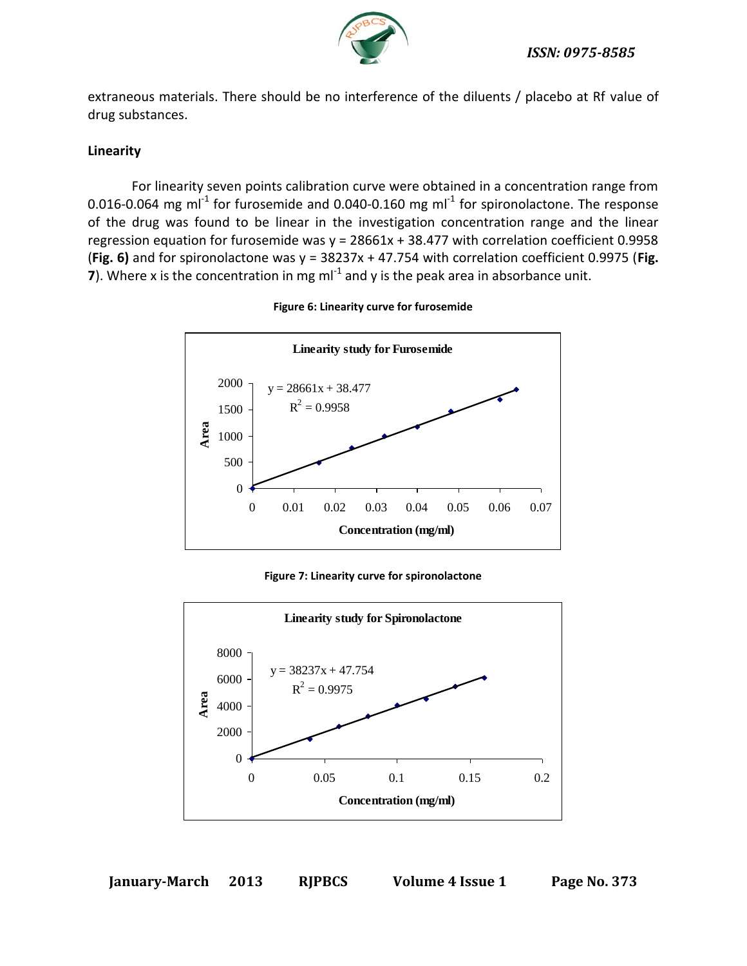

extraneous materials. There should be no interference of the diluents / placebo at Rf value of drug substances.

# **Linearity**

For linearity seven points calibration curve were obtained in a concentration range from 0.016-0.064 mg ml<sup>-1</sup> for furosemide and 0.040-0.160 mg ml<sup>-1</sup> for spironolactone. The response of the drug was found to be linear in the investigation concentration range and the linear regression equation for furosemide was  $y = 28661x + 38.477$  with correlation coefficient 0.9958 (**Fig. 6)** and for spironolactone was y = 38237x + 47.754 with correlation coefficient 0.9975 (**Fig. 7**). Where x is the concentration in mg ml<sup>-1</sup> and y is the peak area in absorbance unit.



**Figure 6: Linearity curve for furosemide**

**Figure 7: Linearity curve for spironolactone**

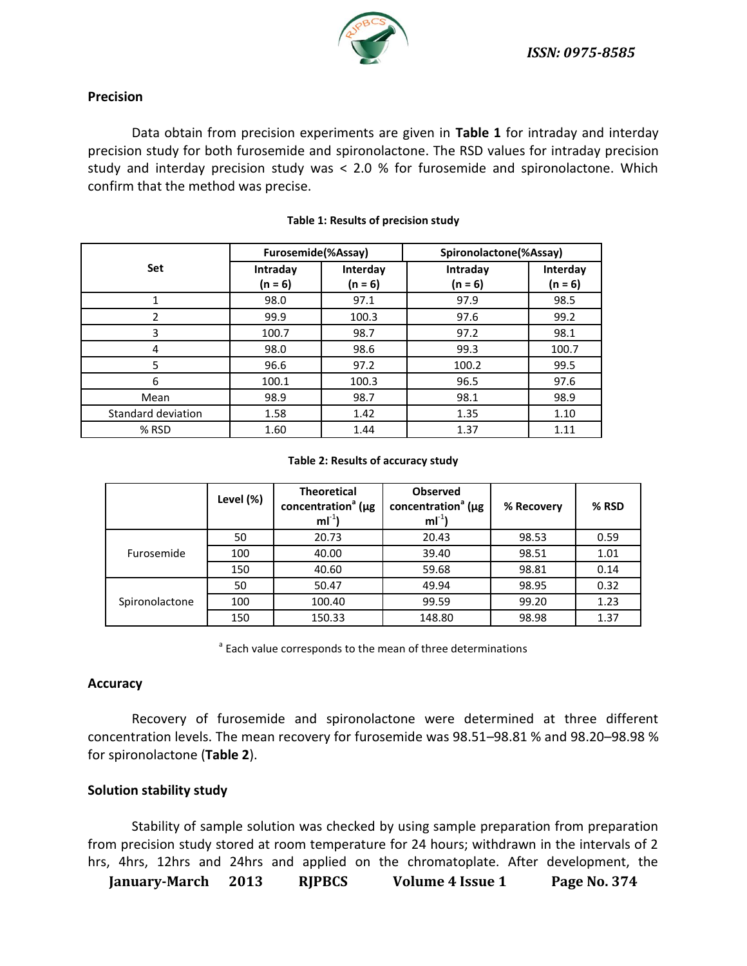

### **Precision**

Data obtain from precision experiments are given in **Table 1** for intraday and interday precision study for both furosemide and spironolactone. The RSD values for intraday precision study and interday precision study was < 2.0 % for furosemide and spironolactone. Which confirm that the method was precise.

|                    | Furosemide(%Assay)  |                       | Spironolactone(%Assay) |                       |
|--------------------|---------------------|-----------------------|------------------------|-----------------------|
| Set                | Intraday<br>(n = 6) | Interday<br>$(n = 6)$ | Intraday<br>$(n = 6)$  | Interday<br>$(n = 6)$ |
|                    | 98.0                | 97.1                  | 97.9                   | 98.5                  |
| 2                  | 99.9                | 100.3                 | 97.6                   | 99.2                  |
| 3                  | 100.7               | 98.7                  | 97.2                   | 98.1                  |
| 4                  | 98.0                | 98.6                  | 99.3                   | 100.7                 |
| 5                  | 96.6                | 97.2                  | 100.2                  | 99.5                  |
| 6                  | 100.1               | 100.3                 | 96.5                   | 97.6                  |
| Mean               | 98.9                | 98.7                  | 98.1                   | 98.9                  |
| Standard deviation | 1.58                | 1.42                  | 1.35                   | 1.10                  |
| % RSD              | 1.60                | 1.44                  | 1.37                   | 1.11                  |

### **Table 1: Results of precision study**

#### **Table 2: Results of accuracy study**

|                | Level (%) | <b>Theoretical</b><br>concentration <sup>a</sup> ( $\mu$ g<br>$mI^{-1}$ | <b>Observed</b><br>concentration <sup>a</sup> ( $\mu$ g<br>$ml^{-1}$ | % Recovery | % RSD |
|----------------|-----------|-------------------------------------------------------------------------|----------------------------------------------------------------------|------------|-------|
| Furosemide     | 50        | 20.73                                                                   | 20.43                                                                | 98.53      | 0.59  |
|                | 100       | 40.00                                                                   | 39.40                                                                | 98.51      | 1.01  |
|                | 150       | 40.60                                                                   | 59.68                                                                | 98.81      | 0.14  |
| Spironolactone | 50        | 50.47                                                                   | 49.94                                                                | 98.95      | 0.32  |
|                | 100       | 100.40                                                                  | 99.59                                                                | 99.20      | 1.23  |
|                | 150       | 150.33                                                                  | 148.80                                                               | 98.98      | 1.37  |

<sup>a</sup> Each value corresponds to the mean of three determinations

### **Accuracy**

Recovery of furosemide and spironolactone were determined at three different concentration levels. The mean recovery for furosemide was 98.51–98.81 % and 98.20–98.98 % for spironolactone (**Table 2**).

### **Solution stability study**

Stability of sample solution was checked by using sample preparation from preparation from precision study stored at room temperature for 24 hours; withdrawn in the intervals of 2 hrs, 4hrs, 12hrs and 24hrs and applied on the chromatoplate. After development, the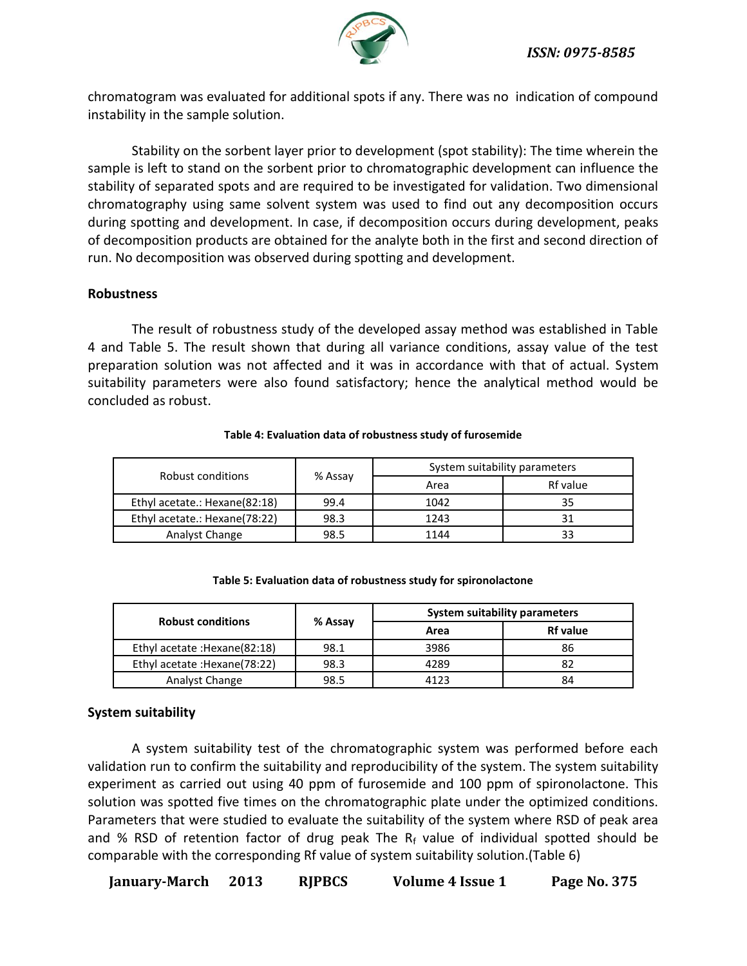

chromatogram was evaluated for additional spots if any. There was no indication of compound instability in the sample solution.

Stability on the sorbent layer prior to development (spot stability): The time wherein the sample is left to stand on the sorbent prior to chromatographic development can influence the stability of separated spots and are required to be investigated for validation. Two dimensional chromatography using same solvent system was used to find out any decomposition occurs during spotting and development. In case, if decomposition occurs during development, peaks of decomposition products are obtained for the analyte both in the first and second direction of run. No decomposition was observed during spotting and development.

# **Robustness**

The result of robustness study of the developed assay method was established in Table 4 and Table 5. The result shown that during all variance conditions, assay value of the test preparation solution was not affected and it was in accordance with that of actual. System suitability parameters were also found satisfactory; hence the analytical method would be concluded as robust.

| Robust conditions             | % Assay | System suitability parameters |          |  |
|-------------------------------|---------|-------------------------------|----------|--|
|                               |         | Area                          | Rf value |  |
| Ethyl acetate.: Hexane(82:18) | 99.4    | 1042                          |          |  |
| Ethyl acetate.: Hexane(78:22) | 98.3    | 1243                          |          |  |
| Analyst Change                | 98.5    | 1144                          |          |  |

### **Table 4: Evaluation data of robustness study of furosemide**

| <b>Robust conditions</b>       | % Assay | <b>System suitability parameters</b> |                 |  |
|--------------------------------|---------|--------------------------------------|-----------------|--|
|                                |         | Area                                 | <b>Rf</b> value |  |
| Ethyl acetate : Hexane (82:18) | 98.1    | 3986                                 | 86              |  |
| Ethyl acetate : Hexane (78:22) | 98.3    | 4289                                 |                 |  |
| Analyst Change                 | 98.5    | 4123                                 | 84              |  |

### **Table 5: Evaluation data of robustness study for spironolactone**

### **System suitability**

A system suitability test of the chromatographic system was performed before each validation run to confirm the suitability and reproducibility of the system. The system suitability experiment as carried out using 40 ppm of furosemide and 100 ppm of spironolactone. This solution was spotted five times on the chromatographic plate under the optimized conditions. Parameters that were studied to evaluate the suitability of the system where RSD of peak area and % RSD of retention factor of drug peak The  $R_f$  value of individual spotted should be comparable with the corresponding Rf value of system suitability solution.(Table 6)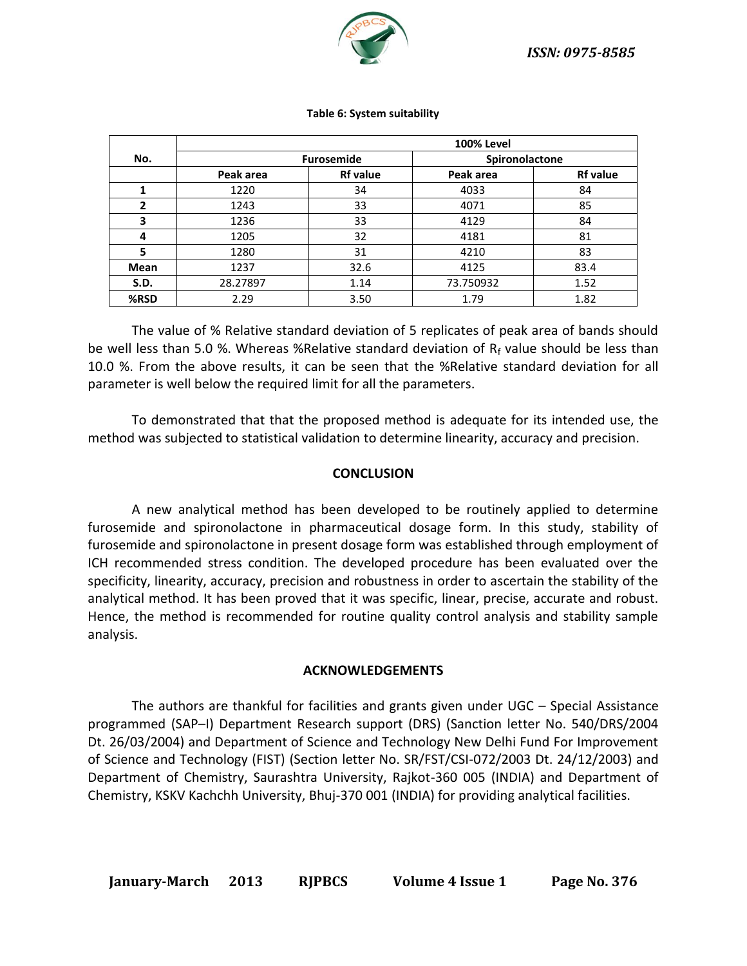

|      | <b>100% Level</b> |                 |                |                 |
|------|-------------------|-----------------|----------------|-----------------|
| No.  | <b>Furosemide</b> |                 | Spironolactone |                 |
|      | Peak area         | <b>Rf</b> value | Peak area      | <b>Rf value</b> |
|      | 1220              | 34              | 4033           | 84              |
| 2    | 1243              | 33              | 4071           | 85              |
| 3    | 1236              | 33              | 4129           | 84              |
| 4    | 1205              | 32              | 4181           | 81              |
| 5    | 1280              | 31              | 4210           | 83              |
| Mean | 1237              | 32.6            | 4125           | 83.4            |
| S.D. | 28.27897          | 1.14            | 73.750932      | 1.52            |
| %RSD | 2.29              | 3.50            | 1.79           | 1.82            |

#### **Table 6: System suitability**

The value of % Relative standard deviation of 5 replicates of peak area of bands should be well less than 5.0 %. Whereas %Relative standard deviation of  $R_f$  value should be less than 10.0 %. From the above results, it can be seen that the %Relative standard deviation for all parameter is well below the required limit for all the parameters.

To demonstrated that that the proposed method is adequate for its intended use, the method was subjected to statistical validation to determine linearity, accuracy and precision.

### **CONCLUSION**

A new analytical method has been developed to be routinely applied to determine furosemide and spironolactone in pharmaceutical dosage form. In this study, stability of furosemide and spironolactone in present dosage form was established through employment of ICH recommended stress condition. The developed procedure has been evaluated over the specificity, linearity, accuracy, precision and robustness in order to ascertain the stability of the analytical method. It has been proved that it was specific, linear, precise, accurate and robust. Hence, the method is recommended for routine quality control analysis and stability sample analysis.

### **ACKNOWLEDGEMENTS**

The authors are thankful for facilities and grants given under UGC – Special Assistance programmed (SAP–I) Department Research support (DRS) (Sanction letter No. 540/DRS/2004 Dt. 26/03/2004) and Department of Science and Technology New Delhi Fund For Improvement of Science and Technology (FIST) (Section letter No. SR/FST/CSI-072/2003 Dt. 24/12/2003) and Department of Chemistry, Saurashtra University, Rajkot-360 005 (INDIA) and Department of Chemistry, KSKV Kachchh University, Bhuj-370 001 (INDIA) for providing analytical facilities.